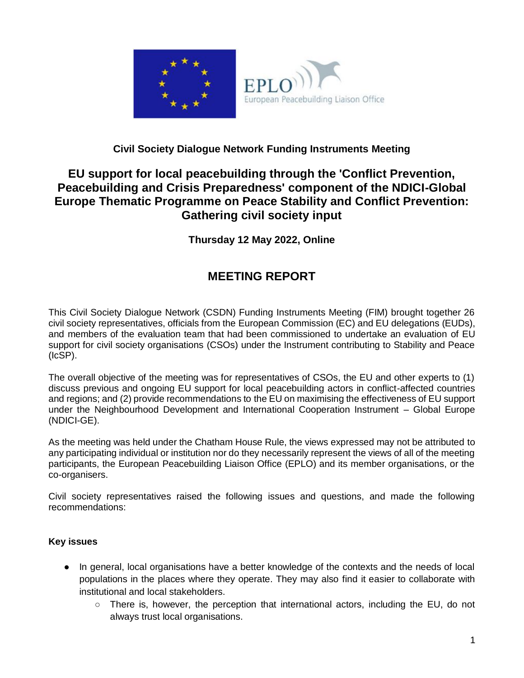

### **Civil Society Dialogue Network Funding Instruments Meeting**

## **EU support for local peacebuilding through the 'Conflict Prevention, Peacebuilding and Crisis Preparedness' component of the NDICI-Global Europe Thematic Programme on Peace Stability and Conflict Prevention: Gathering civil society input**

**Thursday 12 May 2022, Online**

# **MEETING REPORT**

This Civil Society Dialogue Network (CSDN) Funding Instruments Meeting (FIM) brought together 26 civil society representatives, officials from the European Commission (EC) and EU delegations (EUDs), and members of the evaluation team that had been commissioned to undertake an evaluation of EU support for civil society organisations (CSOs) under the Instrument contributing to Stability and Peace (IcSP).

The overall objective of the meeting was for representatives of CSOs, the EU and other experts to (1) discuss previous and ongoing EU support for local peacebuilding actors in conflict-affected countries and regions; and (2) provide recommendations to the EU on maximising the effectiveness of EU support under the Neighbourhood Development and International Cooperation Instrument – Global Europe (NDICI-GE).

As the meeting was held under the Chatham House Rule, the views expressed may not be attributed to any participating individual or institution nor do they necessarily represent the views of all of the meeting participants, the European Peacebuilding Liaison Office (EPLO) and its member organisations, or the co-organisers.

Civil society representatives raised the following issues and questions, and made the following recommendations:

#### **Key issues**

- In general, local organisations have a better knowledge of the contexts and the needs of local populations in the places where they operate. They may also find it easier to collaborate with institutional and local stakeholders.
	- There is, however, the perception that international actors, including the EU, do not always trust local organisations.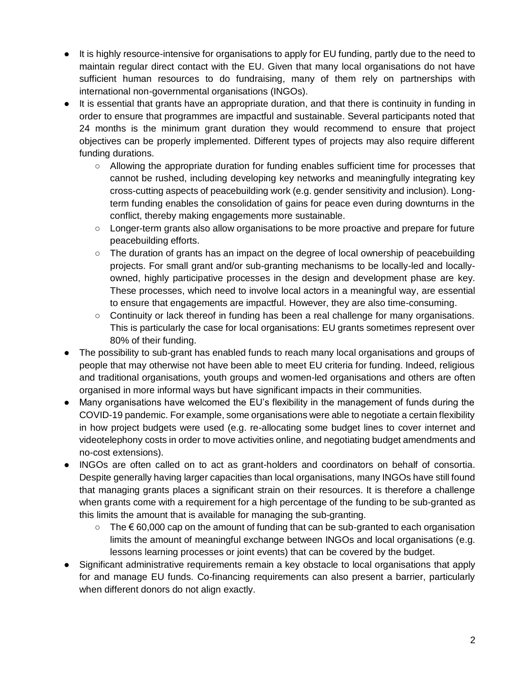- It is highly resource-intensive for organisations to apply for EU funding, partly due to the need to maintain regular direct contact with the EU. Given that many local organisations do not have sufficient human resources to do fundraising, many of them rely on partnerships with international non-governmental organisations (INGOs).
- It is essential that grants have an appropriate duration, and that there is continuity in funding in order to ensure that programmes are impactful and sustainable. Several participants noted that 24 months is the minimum grant duration they would recommend to ensure that project objectives can be properly implemented. Different types of projects may also require different funding durations.
	- Allowing the appropriate duration for funding enables sufficient time for processes that cannot be rushed, including developing key networks and meaningfully integrating key cross-cutting aspects of peacebuilding work (e.g. gender sensitivity and inclusion). Longterm funding enables the consolidation of gains for peace even during downturns in the conflict, thereby making engagements more sustainable.
	- Longer-term grants also allow organisations to be more proactive and prepare for future peacebuilding efforts.
	- The duration of grants has an impact on the degree of local ownership of peacebuilding projects. For small grant and/or sub-granting mechanisms to be locally-led and locallyowned, highly participative processes in the design and development phase are key. These processes, which need to involve local actors in a meaningful way, are essential to ensure that engagements are impactful. However, they are also time-consuming.
	- Continuity or lack thereof in funding has been a real challenge for many organisations. This is particularly the case for local organisations: EU grants sometimes represent over 80% of their funding.
- The possibility to sub-grant has enabled funds to reach many local organisations and groups of people that may otherwise not have been able to meet EU criteria for funding. Indeed, religious and traditional organisations, youth groups and women-led organisations and others are often organised in more informal ways but have significant impacts in their communities.
- Many organisations have welcomed the EU's flexibility in the management of funds during the COVID-19 pandemic. For example, some organisations were able to negotiate a certain flexibility in how project budgets were used (e.g. re-allocating some budget lines to cover internet and videotelephony costs in order to move activities online, and negotiating budget amendments and no-cost extensions).
- INGOs are often called on to act as grant-holders and coordinators on behalf of consortia. Despite generally having larger capacities than local organisations, many INGOs have still found that managing grants places a significant strain on their resources. It is therefore a challenge when grants come with a requirement for a high percentage of the funding to be sub-granted as this limits the amount that is available for managing the sub-granting.
	- The € 60,000 cap on the amount of funding that can be sub-granted to each organisation limits the amount of meaningful exchange between INGOs and local organisations (e.g. lessons learning processes or joint events) that can be covered by the budget.
- Significant administrative requirements remain a key obstacle to local organisations that apply for and manage EU funds. Co-financing requirements can also present a barrier, particularly when different donors do not align exactly.